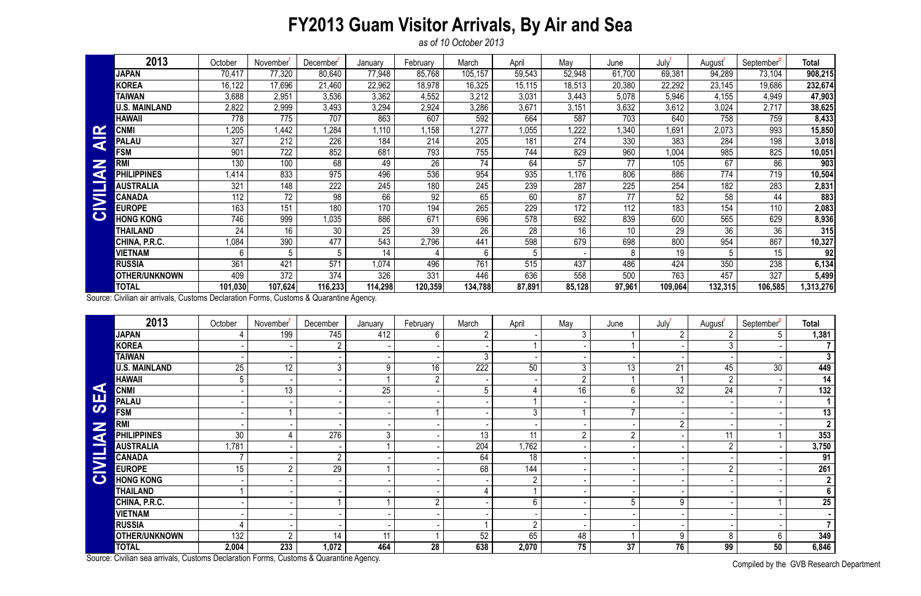## **FY2013 Guam Visitor Arrivals, By Air and Sea**

*as of 10 October 2013*

Compiled by the GVB Research Department

|                         | 2013                  | October | November | December' | January | February | March           | April  | May    | June   | July'   | August <sup>'</sup> | September <sup>v</sup> | <b>Total</b> |
|-------------------------|-----------------------|---------|----------|-----------|---------|----------|-----------------|--------|--------|--------|---------|---------------------|------------------------|--------------|
|                         | <b>JAPAN</b>          | 70,417  | 77,320   | 80,640    | 77,948  | 85,768   | 105,157         | 59,543 | 52,948 | 61,700 | 69,381  | 94,289              | 73,104                 | 908,215      |
|                         | <b>KOREA</b>          | 16,122  | 17,696   | 21,460    | 22,962  | 18,978   | 16,325          | 15,115 | 18,513 | 20,380 | 22,292  | 23,145              | 19,686                 | 232,674      |
|                         | <b>TAIWAN</b>         | 3,688   | 2,951    | 3,536     | 3,362   | 4,552    | 3,212           | 3,031  | 3,443  | 5,078  | 5,946   | 4,155               | 4,949                  | 47,903       |
|                         | <b>U.S. MAINLAND</b>  | 2,822   | 2,999    | 3,493     | 3,294   | 2,924    | 3,286           | 3,671  | 3,151  | 3,632  | 3,612   | 3,024               | 2,717                  | 38,625       |
|                         | <b>HAWAII</b>         | 778     | 775      | 707       | 863     | 607      | 592             | 664    | 587    | 703    | 640     | 758                 | 759                    | 8,433        |
| $\mathbf{\alpha}$       | <b>CNMI</b>           | ,205    | 1,442    | ,284      | 1,110   | 1,158    | ,277            | 1,055  | ,222   | ,340   | ,691    | 2,073               | 993                    | 15,850       |
| $\overline{\textbf{a}}$ | <b>PALAU</b>          | 327     | 212      | 226       | 184     | 214      | 205             | 181    | 274    | 330    | 383     | 284                 | 198                    | 3,018        |
| Z<br>G                  | <b>FSM</b>            | 901     | 722      | 852       | 681     | 793      | 755             | 744    | 829    | 960    | 1,004   | 985                 | 825                    | 10,051       |
|                         | RM                    | 130     | 100      | 68        | 49      | 26       | $\overline{74}$ | 64     | 57     | 77     | 105     | 67                  | 86                     | 903          |
|                         | PH<br><b>LIPPINES</b> | .414    | 833      | 975       | 496     | 536      | 954             | 935    | ,176   | 806    | 886     | 774                 | 719                    | 10,504       |
|                         | <b>AUSTRALIA</b>      | 321     | 148      | 222       | 245     | 180      | 245             | 239    | 287    | 225    | 254     | 182                 | 283                    | 2,831        |
| $\overline{\mathbf{M}}$ | <b>CANADA</b>         | 112     | 72       | 98        | 66      | 92       | 65              | 60     | 87     | 77     | 52      | 58                  | 44                     | 883          |
|                         | <b>EUROPE</b>         | 163     | 151      | 180       | 170     | 194      | 265             | 229    | 172    | 112    | 183     | 154                 | 110                    | 2,083        |
| $\mathbf C$             | <b>HONG KONG</b>      | 746     | 999      | 1,035     | 886     | 671      | 696             | 578    | 692    | 839    | 600     | 565                 | 629                    | 8,936        |
|                         | THAILAND              | 24      | 16       | 30        | 25      | 39       | 26              | 28     | 16     | 10     | 29      | 36                  | 36                     | 315          |
|                         | CHINA, P.R.C.         | 0.084   | 390      | 477       | 543     | 2,796    | 441             | 598    | 679    | 698    | 800     | 954                 | 867                    | 10,327       |
|                         | <b>VIETNAM</b>        | 6       |          | 5         | 14      |          | 6               |        |        | 8      | 19      |                     | 15                     | 92           |
|                         | <b>RUSSIA</b>         | 361     | 421      | 571       | 1,074   | 496      | 761             | 515    | 437    | 486    | 424     | 350                 | 238                    | 6,134        |
|                         | <b>OTHER/UNKNOWN</b>  | 409     | 372      | 374       | 326     | 331      | 446             | 636    | 558    | 500    | 763     | 457                 | 327                    | 5,499        |
|                         | <b>TOTAL</b>          | 101,030 | 107,624  | 116,233   | 114,298 | 120,359  | 134,788         | 87,891 | 85,128 | 97,961 | 109,064 | 132,315             | 106,585                | ,313,276     |

|                       | <b>CNMI</b>                                                                            | 1,205           | 1,442           | 1,284            | 1,110           | 1,158           | 1,277            | 1,055  | ,222           | 1,340           | 1,691           | 2,073           | 993                    | 15,850                   |
|-----------------------|----------------------------------------------------------------------------------------|-----------------|-----------------|------------------|-----------------|-----------------|------------------|--------|----------------|-----------------|-----------------|-----------------|------------------------|--------------------------|
| <b>AIR</b>            | <b>PALAU</b>                                                                           | 327             | 212             | 226              | 184             | 214             | 205              | 181    | 274            | 330             | 383             | 284             | 198                    | 3,018                    |
| Z<br>CIVILIA          | <b>FSM</b>                                                                             | 901             | 722             | 852              | 681             | 793             | 755              | 744    | 829            | 960             | 1,004           | 985             | 825                    | 10,051                   |
|                       | <b>RMI</b>                                                                             | 130             | 100             | 68               | 49              | $\overline{26}$ | $\overline{74}$  | 64     | 57             | 77              | 105             | 67              | 86                     | 903                      |
|                       | <b>PHILIPPINES</b>                                                                     | 1,414           | 833             | 975              | 496             | 536             | 954              | 935    | 1,176          | 806             | 886             | 774             | 719                    | 10,504                   |
|                       | <b>AUSTRALIA</b>                                                                       | 321             | 148             | 222              | 245             | 180             | 245              | 239    | 287            | 225             | 254             | 182             | 283                    | 2,831                    |
|                       | <b>CANADA</b>                                                                          | 112             | $\overline{72}$ | $\overline{98}$  | 66              | $\overline{92}$ | 65               | 60     | 87             | 77              | $\overline{52}$ | 58              | 44                     | 883                      |
|                       | <b>EUROPE</b>                                                                          | 163             | 151             | 180              | 170             | 194             | 265              | 229    | 172            | 112             | 183             | 154             | 110                    | 2,083                    |
|                       | <b>HONG KONG</b>                                                                       | 746             | 999             | 1,035            | 886             | 671             | 696              | 578    | 692            | 839             | 600             | 565             | 629                    | 8,936                    |
|                       | <b>THAILAND</b>                                                                        | 24              | 16              | 30               | $\overline{25}$ | $\overline{39}$ | $\overline{26}$  | 28     | 16             | 10              | $\overline{29}$ | $\overline{36}$ | $\overline{36}$        | 315                      |
|                       | CHINA, P.R.C.                                                                          | 1,084           | 390             | 477              | 543             | 2,796           | 441              | 598    | 679            | 698             | 800             | 954             | 867                    | 10,327                   |
|                       | <b>VIETNAM</b>                                                                         | 6               | 5               | 5                | 14              |                 | 6                | 5      |                | 8               | 19              | 5 <sup>5</sup>  | 15                     | 92                       |
|                       | <b>RUSSIA</b>                                                                          | 361             | 421             | $\overline{571}$ | 1,074           | 496             | 761              | 515    | 437            | 486             | 424             | 350             | 238                    | 6,134                    |
|                       | <b>OTHER/UNKNOWN</b>                                                                   | 409             | 372             | 374              | 326             | 331             | 446              | 636    | 558            | 500             | 763             | 457             | 327                    | 5,499                    |
|                       | <b>TOTAL</b>                                                                           | 101,030         | 107,624         | 116,233          | 114,298         | 120,359         | 134,788          | 87,891 | 85,128         | 97,961          | 109,064         | 132,315         | 106,585                | 1,313,276                |
|                       | Source: Civilian air arrivals, Customs Declaration Forms, Customs & Quarantine Agency. |                 |                 |                  |                 |                 |                  |        |                |                 |                 |                 |                        |                          |
|                       | 2013                                                                                   | October         | November        | December         | January         | February        | March            | April  | May            | June            | July            | August          | September <sup>p</sup> | <b>Total</b>             |
|                       | <b>JAPAN</b>                                                                           | 4               | 199             | 745              | 412             | 6               | $\overline{2}$   |        | 3              |                 | $\overline{2}$  | $\overline{2}$  | 5                      | 1,381                    |
|                       | <b>KOREA</b>                                                                           |                 |                 | $2^{\circ}$      |                 |                 |                  |        |                |                 |                 | 3 <sup>1</sup>  |                        | $\overline{7}$           |
|                       | <b>TAIWAN</b>                                                                          |                 |                 |                  |                 |                 | 3                |        |                |                 |                 |                 |                        | 3 <sup>1</sup>           |
|                       | <b>U.S. MAINLAND</b>                                                                   | $\overline{25}$ | $\overline{12}$ | 3 <sup>1</sup>   | 9               | $\overline{16}$ | $\overline{222}$ | 50     | 3              | $\overline{13}$ | 21              | 45              | 30                     | 449                      |
|                       | <b>HAWAII</b>                                                                          | 5               |                 |                  |                 | $\overline{2}$  |                  |        | $\overline{2}$ |                 |                 | $2\overline{ }$ |                        | $\overline{14}$          |
| $\blacktriangleleft$  | <b>CNMI</b>                                                                            |                 | 13              |                  | 25              |                 | 5                | 4      | 16             | $6\phantom{.}$  | $\overline{32}$ | $\overline{24}$ |                        | 132                      |
| <b>SE</b>             | <b>PALAU</b>                                                                           |                 |                 |                  |                 |                 |                  |        |                |                 |                 |                 |                        | 1 <sup>1</sup>           |
|                       | <b>FSM</b>                                                                             |                 |                 |                  |                 |                 |                  | 3      |                | $\overline{7}$  |                 |                 |                        | 13                       |
|                       | <b>RMI</b>                                                                             |                 |                 |                  |                 |                 |                  |        |                |                 | $\overline{2}$  |                 |                        | $\overline{2}$           |
| <b>NAI.</b>           | <b>PHILIPPINES</b>                                                                     | 30              | 4               | 276              | $\mathfrak{Z}$  |                 | 13               | 11     | $\overline{2}$ | $\overline{2}$  |                 | 11              |                        | 353                      |
|                       | <b>AUSTRALIA</b>                                                                       | 1,781           |                 |                  |                 |                 | 204              | 1,762  |                |                 |                 | $\overline{2}$  |                        | 3,750                    |
| E.                    | <b>CANADA</b>                                                                          | $\overline{7}$  |                 | $2^{\circ}$      |                 |                 | 64               | 18     |                |                 |                 |                 |                        | 91                       |
| $\blacktriangleright$ | <b>EUROPE</b>                                                                          | 15              | $\overline{2}$  | 29               |                 |                 | 68               | 144    |                |                 |                 | $\overline{2}$  |                        | 261                      |
| $\bullet$             | <b>HONG KONG</b>                                                                       |                 |                 |                  |                 |                 |                  |        |                |                 |                 |                 |                        | $\overline{2}$           |
|                       | <b>THAILAND</b>                                                                        |                 |                 |                  |                 |                 |                  |        |                |                 |                 |                 |                        | $\overline{\phantom{a}}$ |
|                       | CHINA, P.R.C.                                                                          |                 |                 |                  |                 | 2               |                  | 6      |                | 5               | 9               |                 |                        | 25                       |
|                       | <b>VIETNAM</b>                                                                         |                 |                 |                  |                 |                 |                  |        |                |                 |                 |                 |                        | $\blacksquare$           |
|                       | <b>RUSSIA</b>                                                                          |                 |                 |                  |                 |                 |                  | റ      |                |                 |                 |                 |                        | 7 <sup>1</sup>           |
|                       | <b>OTHER/UNKNOWN</b>                                                                   | 132             | $\mathcal{D}$   | 14               | 11              |                 | 52               | 65     | 48             |                 | 9               | 8               | 6                      | 349                      |
|                       | <b>TOTAL</b>                                                                           | 2,004           | 233             | 1,072            | 464             | 28              | 638              | 2,070  | 75             | 37              | $\overline{76}$ | 99              | 50                     | 6,846                    |
|                       | Source: Civilian sea arrivals, Customs Declaration Forms, Customs & Quarantine Agency. |                 |                 |                  |                 |                 |                  |        |                |                 |                 |                 |                        |                          |